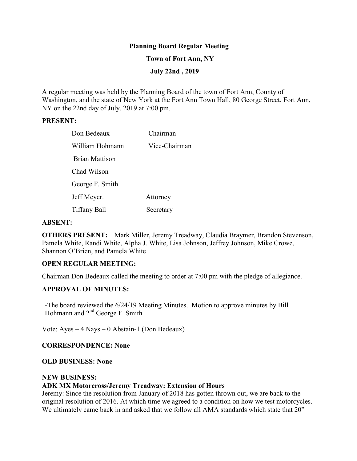## **Planning Board Regular Meeting**

### **Town of Fort Ann, NY**

## **July 22nd , 2019**

A regular meeting was held by the Planning Board of the town of Fort Ann, County of Washington, and the state of New York at the Fort Ann Town Hall, 80 George Street, Fort Ann, NY on the 22nd day of July, 2019 at 7:00 pm.

#### **PRESENT:**

| Don Bedeaux           | Chairman      |
|-----------------------|---------------|
| William Hohmann       | Vice-Chairman |
| <b>Brian Mattison</b> |               |
| Chad Wilson           |               |
| George F. Smith       |               |
| Jeff Meyer.           | Attorney      |
| Tiffany Ball          | Secretary     |

#### **ABSENT:**

**OTHERS PRESENT:** Mark Miller, Jeremy Treadway, Claudia Braymer, Brandon Stevenson, Pamela White, Randi White, Alpha J. White, Lisa Johnson, Jeffrey Johnson, Mike Crowe, Shannon O'Brien, and Pamela White

## **OPEN REGULAR MEETING:**

Chairman Don Bedeaux called the meeting to order at 7:00 pm with the pledge of allegiance.

# **APPROVAL OF MINUTES:**

-The board reviewed the 6/24/19 Meeting Minutes. Motion to approve minutes by Bill Hohmann and 2<sup>nd</sup> George F. Smith

Vote: Ayes – 4 Nays – 0 Abstain-1 (Don Bedeaux)

### **CORRESPONDENCE: None**

### **OLD BUSINESS: None**

#### **NEW BUSINESS:**

#### **ADK MX Motorcross/Jeremy Treadway: Extension of Hours**

Jeremy: Since the resolution from January of 2018 has gotten thrown out, we are back to the original resolution of 2016. At which time we agreed to a condition on how we test motorcycles. We ultimately came back in and asked that we follow all AMA standards which state that 20"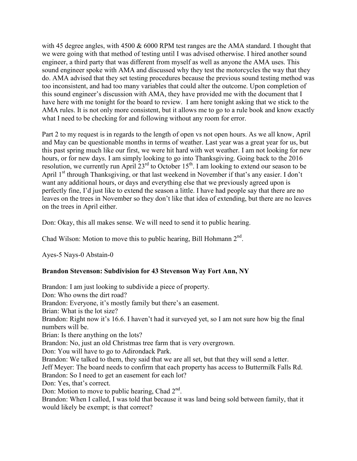with 45 degree angles, with 4500 & 6000 RPM test ranges are the AMA standard. I thought that we were going with that method of testing until I was advised otherwise. I hired another sound engineer, a third party that was different from myself as well as anyone the AMA uses. This sound engineer spoke with AMA and discussed why they test the motorcycles the way that they do. AMA advised that they set testing procedures because the previous sound testing method was too inconsistent, and had too many variables that could alter the outcome. Upon completion of this sound engineer's discussion with AMA, they have provided me with the document that I have here with me tonight for the board to review. I am here tonight asking that we stick to the AMA rules. It is not only more consistent, but it allows me to go to a rule book and know exactly what I need to be checking for and following without any room for error.

Part 2 to my request is in regards to the length of open vs not open hours. As we all know, April and May can be questionable months in terms of weather. Last year was a great year for us, but this past spring much like our first, we were hit hard with wet weather. I am not looking for new hours, or for new days. I am simply looking to go into Thanksgiving. Going back to the 2016 resolution, we currently run April  $23<sup>rd</sup>$  to October  $15<sup>th</sup>$ . I am looking to extend our season to be April 1<sup>st</sup> through Thanksgiving, or that last weekend in November if that's any easier. I don't want any additional hours, or days and everything else that we previously agreed upon is perfectly fine, I'd just like to extend the season a little. I have had people say that there are no leaves on the trees in November so they don't like that idea of extending, but there are no leaves on the trees in April either.

Don: Okay, this all makes sense. We will need to send it to public hearing.

Chad Wilson: Motion to move this to public hearing, Bill Hohmann  $2<sup>nd</sup>$ .

Ayes-5 Nays-0 Abstain-0

# **Brandon Stevenson: Subdivision for 43 Stevenson Way Fort Ann, NY**

Brandon: I am just looking to subdivide a piece of property. Don: Who owns the dirt road? Brandon: Everyone, it's mostly family but there's an easement. Brian: What is the lot size? Brandon: Right now it's 16.6. I haven't had it surveyed yet, so I am not sure how big the final numbers will be. Brian: Is there anything on the lots? Brandon: No, just an old Christmas tree farm that is very overgrown. Don: You will have to go to Adirondack Park. Brandon: We talked to them, they said that we are all set, but that they will send a letter. Jeff Meyer: The board needs to confirm that each property has access to Buttermilk Falls Rd. Brandon: So I need to get an easement for each lot? Don: Yes, that's correct. Don: Motion to move to public hearing, Chad  $2<sup>nd</sup>$ . Brandon: When I called, I was told that because it was land being sold between family, that it would likely be exempt; is that correct?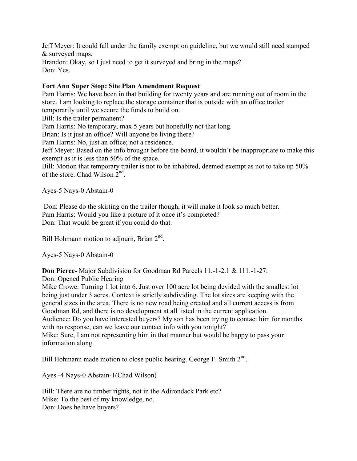Jeff Meyer: It could fall under the family exemption guideline, but we would still need stamped & surveyed maps. Brandon: Okay, so I just need to get it surveyed and bring in the maps? Don: Yes.

# **Fort Ann Super Stop: Site Plan Amendment Request**

Pam Harris: We have been in that building for twenty years and are running out of room in the store. I am looking to replace the storage container that is outside with an office trailer temporarily until we secure the funds to build on.

Bill: Is the trailer permanent?

Pam Harris: No temporary, max 5 years but hopefully not that long.

Brian: Is it just an office? Will anyone be living there?

Pam Harris: No, just an office; not a residence.

Jeff Meyer: Based on the info brought before the board, it wouldn't be inappropriate to make this exempt as it is less than 50% of the space.

Bill: Motion that temporary trailer is not to be inhabited, deemed exempt as not to take up 50% of the store. Chad Wilson 2<sup>nd</sup>.

Ayes-5 Nays-0 Abstain-0

 Don: Please do the skirting on the trailer though, it will make it look so much better. Pam Harris: Would you like a picture of it once it's completed? Don: That would be great if you could do that.

Bill Hohmann motion to adjourn, Brian  $2^{nd}$ .

Ayes-5 Nays-0 Abstain-0

**Don Pierce-** Major Subdivision for Goodman Rd Parcels 11.-1-2.1 & 111.-1-27:

Don: Opened Public Hearing

Mike Crowe: Turning 1 lot into 6. Just over 100 acre lot being devided with the smallest lot being just under 3 acres. Context is strictly subdividing. The lot sizes are keeping with the general sizes in the area. There is no new road being created and all current access is from Goodman Rd, and there is no development at all listed in the current application. Audience: Do you have interested buyers? My son has been trying to contact him for months with no response, can we leave our contact info with you tonight? Mike: Sure, I am not representing him in that manner but would be happy to pass your information along.

Bill Hohmann made motion to close public hearing. George F. Smith  $2<sup>nd</sup>$ .

Ayes -4 Nays-0 Abstain-1(Chad Wilson)

Bill: There are no timber rights, not in the Adirondack Park etc? Mike: To the best of my knowledge, no. Don: Does he have buyers?